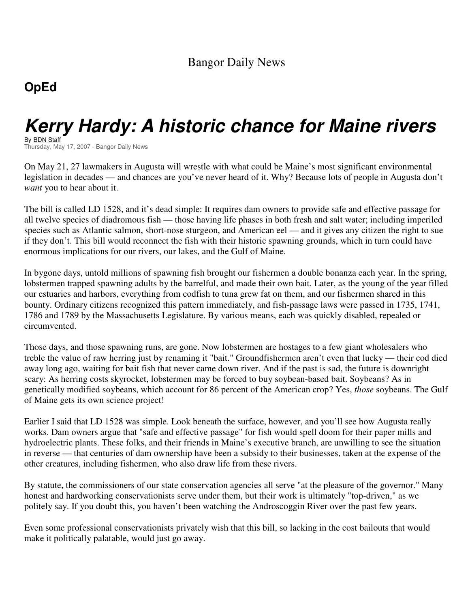## **OpEd**

## **Kerry Hardy: A historic chance for Maine rivers**

By <u>BDN Staff</u> Thursday, May 17, 2007 - Bangor Daily News

On May 21, 27 lawmakers in Augusta will wrestle with what could be Maine's most significant environmental legislation in decades — and chances are you've never heard of it. Why? Because lots of people in Augusta don't *want* you to hear about it.

The bill is called LD 1528, and it's dead simple: It requires dam owners to provide safe and effective passage for all twelve species of diadromous fish — those having life phases in both fresh and salt water; including imperiled species such as Atlantic salmon, short-nose sturgeon, and American eel — and it gives any citizen the right to sue if they don't. This bill would reconnect the fish with their historic spawning grounds, which in turn could have enormous implications for our rivers, our lakes, and the Gulf of Maine.

In bygone days, untold millions of spawning fish brought our fishermen a double bonanza each year. In the spring, lobstermen trapped spawning adults by the barrelful, and made their own bait. Later, as the young of the year filled our estuaries and harbors, everything from codfish to tuna grew fat on them, and our fishermen shared in this bounty. Ordinary citizens recognized this pattern immediately, and fish-passage laws were passed in 1735, 1741, 1786 and 1789 by the Massachusetts Legislature. By various means, each was quickly disabled, repealed or circumvented.

Those days, and those spawning runs, are gone. Now lobstermen are hostages to a few giant wholesalers who treble the value of raw herring just by renaming it "bait." Groundfishermen aren't even that lucky — their cod died away long ago, waiting for bait fish that never came down river. And if the past is sad, the future is downright scary: As herring costs skyrocket, lobstermen may be forced to buy soybean-based bait. Soybeans? As in genetically modified soybeans, which account for 86 percent of the American crop? Yes, *those* soybeans. The Gulf of Maine gets its own science project!

Earlier I said that LD 1528 was simple. Look beneath the surface, however, and you'll see how Augusta really works. Dam owners argue that "safe and effective passage" for fish would spell doom for their paper mills and hydroelectric plants. These folks, and their friends in Maine's executive branch, are unwilling to see the situation in reverse — that centuries of dam ownership have been a subsidy to their businesses, taken at the expense of the other creatures, including fishermen, who also draw life from these rivers.

By statute, the commissioners of our state conservation agencies all serve "at the pleasure of the governor." Many honest and hardworking conservationists serve under them, but their work is ultimately "top-driven," as we politely say. If you doubt this, you haven't been watching the Androscoggin River over the past few years.

Even some professional conservationists privately wish that this bill, so lacking in the cost bailouts that would make it politically palatable, would just go away.